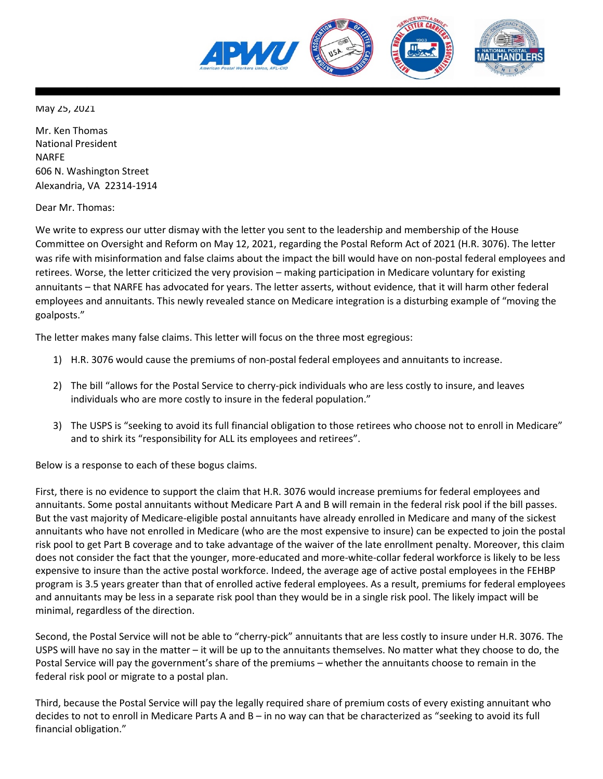

May 25, 2021

Mr. Ken Thomas National President NARFE 606 N. Washington Street Alexandria, VA 22314-1914

Dear Mr. Thomas:

We write to express our utter dismay with the letter you sent to the leadership and membership of the House Committee on Oversight and Reform on May 12, 2021, regarding the Postal Reform Act of 2021 (H.R. 3076). The letter was rife with misinformation and false claims about the impact the bill would have on non-postal federal employees and retirees. Worse, the letter criticized the very provision – making participation in Medicare voluntary for existing annuitants – that NARFE has advocated for years. The letter asserts, without evidence, that it will harm other federal employees and annuitants. This newly revealed stance on Medicare integration is a disturbing example of "moving the goalposts."

The letter makes many false claims. This letter will focus on the three most egregious:

- 1) H.R. 3076 would cause the premiums of non-postal federal employees and annuitants to increase.
- 2) The bill "allows for the Postal Service to cherry-pick individuals who are less costly to insure, and leaves individuals who are more costly to insure in the federal population."
- 3) The USPS is "seeking to avoid its full financial obligation to those retirees who choose not to enroll in Medicare" and to shirk its "responsibility for ALL its employees and retirees".

Below is a response to each of these bogus claims.

First, there is no evidence to support the claim that H.R. 3076 would increase premiums for federal employees and annuitants. Some postal annuitants without Medicare Part A and B will remain in the federal risk pool if the bill passes. But the vast majority of Medicare-eligible postal annuitants have already enrolled in Medicare and many of the sickest annuitants who have not enrolled in Medicare (who are the most expensive to insure) can be expected to join the postal risk pool to get Part B coverage and to take advantage of the waiver of the late enrollment penalty. Moreover, this claim does not consider the fact that the younger, more-educated and more-white-collar federal workforce is likely to be less expensive to insure than the active postal workforce. Indeed, the average age of active postal employees in the FEHBP program is 3.5 years greater than that of enrolled active federal employees. As a result, premiums for federal employees and annuitants may be less in a separate risk pool than they would be in a single risk pool. The likely impact will be minimal, regardless of the direction.

Second, the Postal Service will not be able to "cherry-pick" annuitants that are less costly to insure under H.R. 3076. The USPS will have no say in the matter – it will be up to the annuitants themselves. No matter what they choose to do, the Postal Service will pay the government's share of the premiums – whether the annuitants choose to remain in the federal risk pool or migrate to a postal plan.

Third, because the Postal Service will pay the legally required share of premium costs of every existing annuitant who decides to not to enroll in Medicare Parts A and B – in no way can that be characterized as "seeking to avoid its full financial obligation."